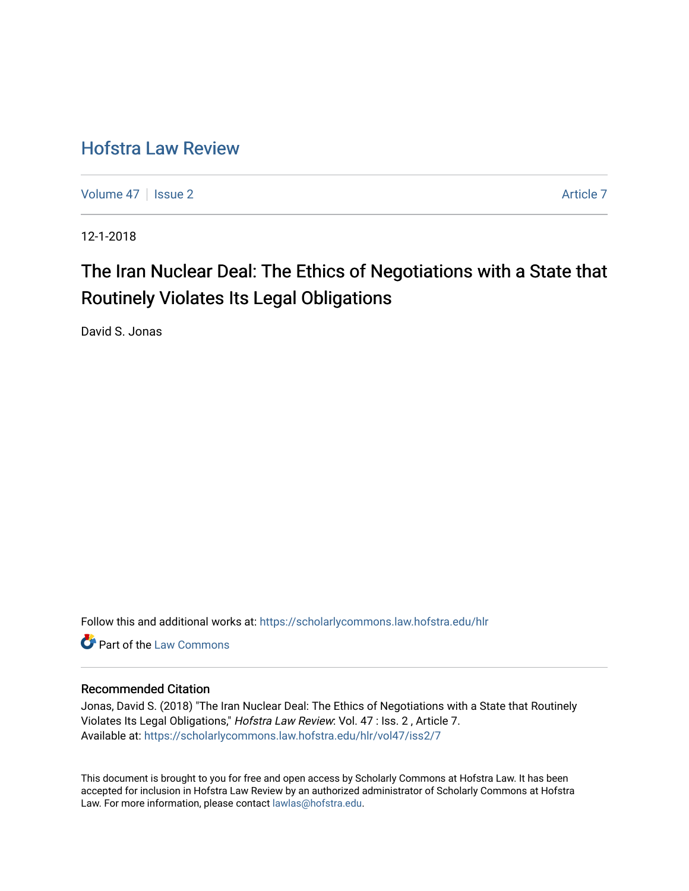# [Hofstra Law Review](https://scholarlycommons.law.hofstra.edu/hlr)

[Volume 47](https://scholarlycommons.law.hofstra.edu/hlr/vol47) | [Issue 2](https://scholarlycommons.law.hofstra.edu/hlr/vol47/iss2) [Article 7](https://scholarlycommons.law.hofstra.edu/hlr/vol47/iss2/7) Article 7

12-1-2018

# The Iran Nuclear Deal: The Ethics of Negotiations with a State that Routinely Violates Its Legal Obligations

David S. Jonas

Follow this and additional works at: [https://scholarlycommons.law.hofstra.edu/hlr](https://scholarlycommons.law.hofstra.edu/hlr?utm_source=scholarlycommons.law.hofstra.edu%2Fhlr%2Fvol47%2Fiss2%2F7&utm_medium=PDF&utm_campaign=PDFCoverPages)

**C** Part of the [Law Commons](http://network.bepress.com/hgg/discipline/578?utm_source=scholarlycommons.law.hofstra.edu%2Fhlr%2Fvol47%2Fiss2%2F7&utm_medium=PDF&utm_campaign=PDFCoverPages)

# Recommended Citation

Jonas, David S. (2018) "The Iran Nuclear Deal: The Ethics of Negotiations with a State that Routinely Violates Its Legal Obligations," Hofstra Law Review: Vol. 47 : Iss. 2 , Article 7. Available at: [https://scholarlycommons.law.hofstra.edu/hlr/vol47/iss2/7](https://scholarlycommons.law.hofstra.edu/hlr/vol47/iss2/7?utm_source=scholarlycommons.law.hofstra.edu%2Fhlr%2Fvol47%2Fiss2%2F7&utm_medium=PDF&utm_campaign=PDFCoverPages)

This document is brought to you for free and open access by Scholarly Commons at Hofstra Law. It has been accepted for inclusion in Hofstra Law Review by an authorized administrator of Scholarly Commons at Hofstra Law. For more information, please contact [lawlas@hofstra.edu.](mailto:lawlas@hofstra.edu)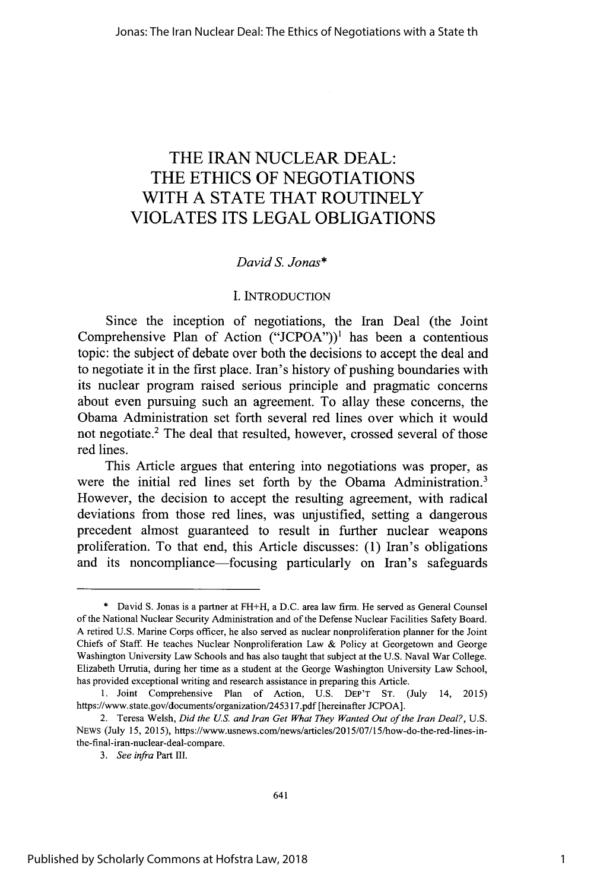# THE IRAN **NUCLEAR DEAL:** THE **ETHICS** OF **NEGOTIATIONS** WITH **A STATE** THAT ROUTINELY **VIOLATES ITS LEGAL OBLIGATIONS**

# *David S. Jonas\**

### I. **INTRODUCTION**

Since the inception of negotiations, the Iran Deal (the Joint Comprehensive Plan of Action **("JCPOA"))1** has been a contentious topic: the subject of debate over both the decisions to accept the deal and to negotiate it in the first place. Iran's history of pushing boundaries with its nuclear program raised serious principle and pragmatic concerns about even pursuing such an agreement. To allay these concerns, the Obama Administration set forth several red lines over which it would not negotiate.' The deal that resulted, however, crossed several of those red lines.

This Article argues that entering into negotiations was proper, as were the initial red lines set forth **by** the Obama Administration.<sup>3</sup> However, the decision to accept the resulting agreement, with radical deviations from those red lines, was unjustified, setting a dangerous precedent almost guaranteed to result in further nuclear weapons proliferation. To that end, this Article discusses: **(1)** Iran's obligations and its noncompliance—focusing particularly on Iran's safeguards

<sup>\*</sup> David **S.** Jonas is a partner at FH+H, a D.C. area law firm. He served as General Counsel of the National Nuclear Security Administration and of the Defense Nuclear Facilities Safety Board. A retired U.S. Marine Corps officer, he also served as nuclear nonproliferation planner for the Joint Chiefs of Staff. He teaches Nuclear Nonproliferation Law & Policy at Georgetown and George Washington University Law Schools and has also taught that subject at the U.S. Naval War College. Elizabeth **Urrutia,** during her time as a student at the George Washington University Law School, has provided exceptional writing and research assistance in preparing this Article.

<sup>1.</sup> Joint Comprehensive Plan of Action, U.S. DEP'T ST. (July 14, 2015) https://www.state.gov/documents/organization/245317.pdf [hereinafter JCPOA].

<sup>2.</sup> Teresa Welsh, *Did the US. and Iran Get What They Wanted Out of the Iran Deal?,* U.S. NEWS (July 15, 2015), https://www.usnews.com/news/articles/2015/07/15/how-do-the-red-lines-inthe-final-iran-nuclear-deal-compare.

*<sup>3.</sup> See infra* Part *ul.*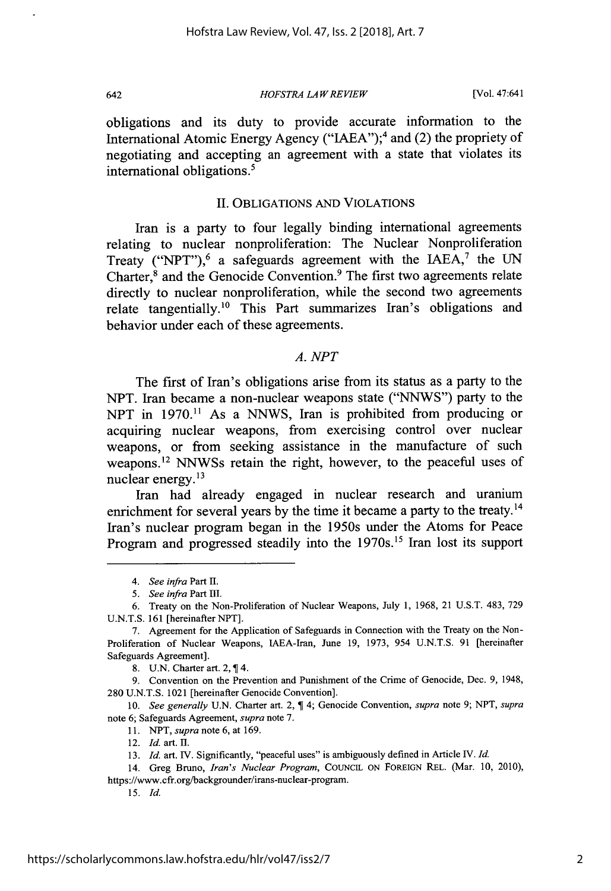*HOFSTRA LA W REVIEW*

[Vol. 47:641

obligations and its duty to provide accurate information to the International Atomic Energy Agency ("IAEA");<sup>4</sup> and (2) the propriety of negotiating and accepting an agreement with a state that violates its international obligations.<sup>5</sup>

# II. OBLIGATIONS AND VIOLATIONS

Iran is a party to four legally binding international agreements relating to nuclear nonproliferation: The Nuclear Nonproliferation Treaty ("NPT"),<sup>6</sup> a safeguards agreement with the IAEA,<sup>7</sup> the UN Charter,8 and the Genocide Convention.9 The first two agreements relate directly to nuclear nonproliferation, while the second two agreements relate tangentially.<sup>10</sup> This Part summarizes Iran's obligations and behavior under each of these agreements.

# *A. NPT*

The first of Iran's obligations arise from its status as a party to the NPT. Iran became a non-nuclear weapons state ("NNWS") party to the NPT in 1970.<sup>11</sup> As a NNWS, Iran is prohibited from producing or acquiring nuclear weapons, from exercising control over nuclear weapons, or from seeking assistance in the manufacture of such weapons.<sup>12</sup> NNWSs retain the right, however, to the peaceful uses of nuclear energy.<sup>13</sup>

Iran had already engaged in nuclear research and uranium enrichment for several years by the time it became a party to the treaty.<sup>14</sup> Iran's nuclear program began in the 1950s under the Atoms for Peace Program and progressed steadily into the 1970s.<sup>15</sup> Iran lost its support

8. U.N. Charter art. 2, 14.

9. Convention on the Prevention and Punishment of the Crime of Genocide, Dec. 9, 1948, 280 U.N.T.S. 1021 [hereinafter Genocide Convention].

10. *See generally* U.N. Charter art. 2, 4; Genocide Convention, *supra* note 9; NPT, *supra* note 6; Safeguards Agreement, *supra* note 7.

- 11. *NPT, supra* note 6, at 169.
- 12. *Id.* art. *H.*

14. Greg Bruno, *Iran's Nuclear Program,* COUNCIL ON FOREIGN REL. (Mar. **10,** 2010), https://www.cfr.org/backgrounder/irans-nuclear-program.

*15. Id.*

<sup>4.</sup> *See* infra Part **II.**

<sup>5.</sup> *See infra* Part HIl.

<sup>6.</sup> Treaty on the Non-Proliferation of Nuclear Weapons, July 1, 1968, 21 **U.S.T.** 483, 729 **U.N.T.S.** 161 [hereinafter NPT].

<sup>7.</sup> Agreement for the Application of Safeguards in Connection with the Treaty on the Non-Proliferation of Nuclear Weapons, IAEA-Iran, June 19, 1973, 954 U.N.T.S. 91 [hereinafter Safeguards Agreement].

<sup>13.</sup> *Id.* art. IV. Significantly, "peaceful uses" is ambiguously defined in Article IV. *Id.*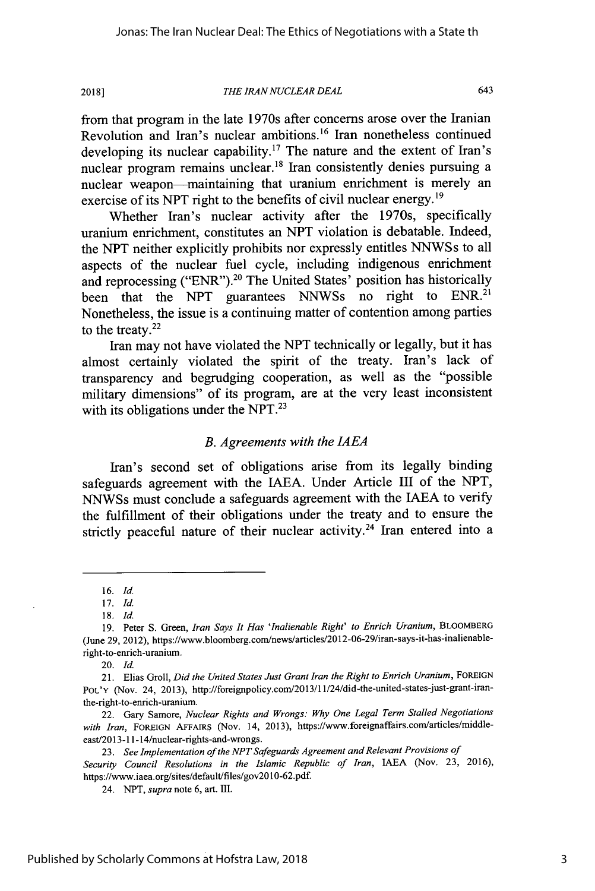**2018]**

#### *THE IRAN NUCLEAR DEAL*

from that program in the late 1970s after concerns arose over the Iranian Revolution and Iran's nuclear ambitions.<sup>16</sup> Iran nonetheless continued developing its nuclear capability.<sup>17</sup> The nature and the extent of Iran's nuclear program remains unclear.<sup>18</sup> Iran consistently denies pursuing a nuclear weapon—maintaining that uranium enrichment is merely an exercise of its NPT right to the benefits of civil nuclear energy.<sup>19</sup>

Whether Iran's nuclear activity after the 1970s, specifically uranium enrichment, constitutes an NPT violation is debatable. Indeed, the NPT neither explicitly prohibits nor expressly entitles NNWSs to all aspects of the nuclear fuel cycle, including indigenous enrichment and reprocessing ("ENR").<sup>20</sup> The United States' position has historically been that the NPT guarantees NNWSs no right to ENR.<sup>21</sup> Nonetheless, the issue is a continuing matter of contention among parties to the treaty. $22$ 

Iran may not have violated the NPT technically or legally, but it has almost certainly violated the spirit of the treaty. Iran's lack of transparency and begrudging cooperation, as well as the "possible military dimensions" of its program, are at the very least inconsistent with its obligations under the NPT.<sup>23</sup>

# *B. Agreements with the JAEA*

Iran's second set of obligations arise from its legally binding safeguards agreement with the **JAEA.** Under Article III of the NPT, NNWSs must conclude a safeguards agreement with the IAEA to verify the fulfillment of their obligations under the treaty and to ensure the strictly peaceful nature of their nuclear activity.<sup>24</sup> Iran entered into a

<sup>16.</sup> Id.

<sup>17.</sup> **Id.** 18. *Id.*

<sup>19.</sup> Peter S. Green, *Iran Says It Has 'Inalienable Right' to Enrich Uranium,* BLOOMBERG (June 29, 2012), https://www.bloomberg.com/news/artices/2012-06-29/iran-says-it-has-inalienableright-to-enrich-uranium.

<sup>20.</sup> Id.

<sup>21.</sup> Elias Groll, *Did the United States Just Grant Iran the Right to Enrich Uranium*, FOREIGN POL'Y (Nov. 24, 2013), http://foreignpolicy.com/2013/11/24/did-the-united-states-just-grant-iranthe-right-to-enrich-uranium.

<sup>22.</sup> Gary Samore, *Nuclear Rights and Wrongs: Why One Legal Term Stalled Negotiations with Iran,* FOREIGN AFFAIRS (Nov. 14, 2013), https://www.foreignaffairs.com/articles/middleeast/2013-11-14/nuclear-rights-and-wrongs.

<sup>23.</sup> *See Implementation of the NPT Safeguards Agreement and Relevant Provisions of Security Council Resolutions in the Islamic Republic of Iran,* IAEA (Nov. 23, 2016), https://www.iaea.org/sites/default/files/gov20lO-62.pdf.

<sup>24.</sup> NPT, *supra* note 6, art. **HI.**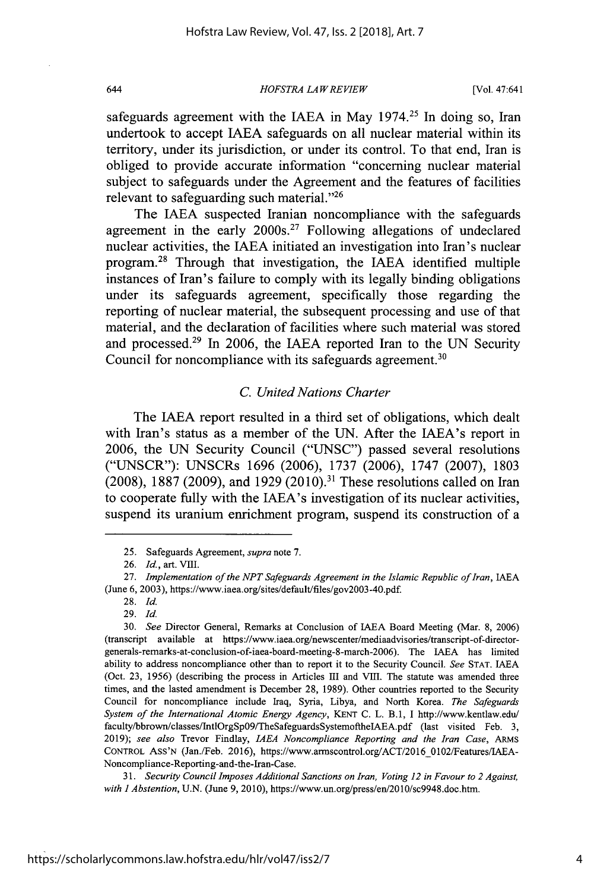*HOFSTRA LAW REVIEW*

safeguards agreement with the IAEA in May  $1974<sup>25</sup>$  In doing so, Iran undertook to accept IAEA safeguards on all nuclear material within its territory, under its jurisdiction, or under its control. To that end, Iran is obliged to provide accurate information "concerning nuclear material subject to safeguards under the Agreement and the features of facilities relevant to safeguarding such material. $^{226}$ 

The **JAEA** suspected Iranian noncompliance with the safeguards agreement in the early  $2000s<sup>27</sup>$  Following allegations of undeclared nuclear activities, the **IAEA** initiated an investigation into Iran's nuclear program. <sup>8</sup>Through that investigation, the **IAEA** identified multiple instances of Iran's failure to comply with its legally binding obligations under its safeguards agreement, specifically those regarding the reporting of nuclear material, the subsequent processing and use of that material, and the declaration of facilities where such material was stored and processed.<sup>29</sup> In 2006, the IAEA reported Iran to the UN Security Council for noncompliance with its safeguards agreement.<sup>30</sup>

# *C. United Nations Charter*

The IAEA report resulted in a third set of obligations, which dealt with Iran's status as a member of the UN. After the JAEA's report in 2006, the UN Security Council ("UNSC") passed several resolutions ("UNSCR"): UNSCRs 1696 (2006), 1737 (2006), 1747 (2007), 1803 (2008), 1887 (2009), and 1929 (2010).<sup>31</sup> These resolutions called on Iran to cooperate fully with the IAEA's investigation of its nuclear activities, suspend its uranium enrichment program, suspend its construction of a

29. *Id.*

*31. Security Council Imposes Additional Sanctions on Iran, Voting 12 in Favour to 2 Against, with 1 Abstention,* U.N. (June 9, 2010), https://www.un.org/press/en/2010/sc9948.doc.htm.

<sup>25.</sup> Safeguards Agreement, *supra* note 7.

<sup>26.</sup> *Id.,* art. *VIII.*

<sup>27.</sup> *Implementation of the NPT Safeguards Agreement in the Islamic Republic of Iran, IAEA* (June 6, 2003), https://www.iaea.org/sites/default/files/gov2003-40.pdf

<sup>28.</sup> *Id.*

*<sup>30.</sup> See* Director General, Remarks at Conclusion of IAEA Board Meeting (Mar. 8, 2006) (transcript available at https://www.iaea.org/newscenter/mediaadvisories/transcript-of-directorgenerals-remarks-at-conclusion-of-iaea-board-meeting-8-march-2006). The IAEA has limited ability to address noncompliance other than to report it to the Security Council. *See* STAT. IAEA (Oct. 23, 1956) (describing the process in Articles III and VIII. The statute was amended three times, and the lasted amendment is December 28, 1989). Other countries reported to the Security Council for noncompliance include Iraq, Syria, Libya, and North Korea. *The Safeguards System of the International Atomic Energy Agency,* KENT C. L. B.1, I http://www.kentlaw.edu/ faculty/bbrown/classes/IntlOrgSpO9/TheSafeguardsSystemoftheIAEA.pdf (last visited Feb. 3, 2019); *see also* Trevor Findlay, *IAEA Noncompliance Reporting and the Iran Case, ARMS* CONTROL ASS'N (Jan./Feb. 2016), https://www.armscontrol.org/ACT/2016\_0102/Features/IAEA-Noncompliance-Reporting-and-the-Iran-Case.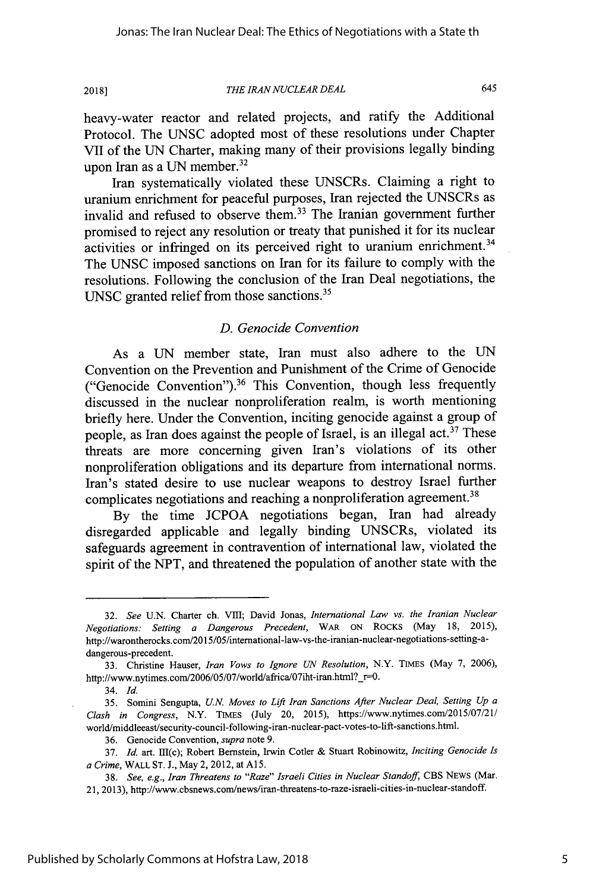**THE IRAN NUCLEAR DEAL** 

645

heavy-water reactor and related projects, and ratify the Additional Protocol. The UNSC adopted most of these resolutions under Chapter VII of the UN Charter, making many of their provisions legally binding upon Iran as a UN member. $32$ 

Iran systematically violated these UNSCRs. Claiming a right to uranium enrichment for peaceful purposes, Iran rejected the UNSCRs as invalid and refused to observe them.<sup>33</sup> The Iranian government further promised to reject any resolution or treaty that punished it for its nuclear activities or infringed on its perceived right to uranium enrichment.<sup>34</sup> The UNSC imposed sanctions on Iran for its failure to comply with the resolutions. Following the conclusion of the Iran Deal negotiations, the UNSC granted relief from those sanctions.<sup>35</sup>

# *D. Genocide Convention*

As a UN member state, Iran must also adhere to the UN Convention on the Prevention and Punishment of the Crime of Genocide ("Genocide Convention").<sup>36</sup> This Convention, though less frequently discussed in the nuclear nonproliferation realm, is worth mentioning briefly here. Under the Convention, inciting genocide against a group of people, as Iran does against the people of Israel, is an illegal act.<sup>37</sup> These threats are more concerning given Iran's violations of its other nonproliferation obligations and its departure from international norms. Iran's stated desire to use nuclear weapons to destroy Israel further complicates negotiations and reaching a nonproliferation agreement.<sup>38</sup>

By the time JCPOA negotiations began, Iran had already disregarded applicable and legally binding UNSCRs, violated its safeguards agreement in contravention of international law, violated the spirit of the NPT, and threatened the population of another state with the

<sup>32.</sup> *See* U.N. Charter ch. VIII; David Jonas, *International Law vs. the Iranian Nuclear Negotiations: Setting a Dangerous Precedent,* WAR **ON** ROCKS (May 18, 2015), http://warontherocks.com/2015/05/international-law-vs-the-iranian-nuclear-negotiations-setting-adangerous-precedent.

<sup>33.</sup> Christine Hauser, *Iran Vows to Ignore UN Resolution,* N.Y. TIMES (May 7, 2006), http://www.nytimes.com/2006/05/07/world/africa/07iht-iran.html?\_r=0

<sup>34.</sup> Id.

<sup>35.</sup> Sonini Sengupta, *U.N. Moves to Lift Iran Sanctions After Nuclear Deal, Setting Up a Clash in Congress,* N.Y. TIMES (July 20, 2015), https://www.nytimes.com/2015/07/21/ world/riddleeast/security-council-following-iran-nuclear-pact-votes-to-lift-sanctions.html.

<sup>36.</sup> Genocide Convention, *supra* note 9.

<sup>37.</sup> *Id.* art. I11(c); Robert Bernstein, Irwin Cotler & Stuart Robinowitz, *Inciting Genocide Is a Crime,* WALL **ST.** J., May 2, 2012, at **A15.**

**<sup>38.</sup>** *See, e.g., Iran Threatens to "Raze" Israeli Cities in Nuclear Standoff,* CBS NEWS (Mar. 21, 2013), http://www.cbsnews.com/news/iran-threatens-to-raze-israeli-cities-in-nuclear-standoff.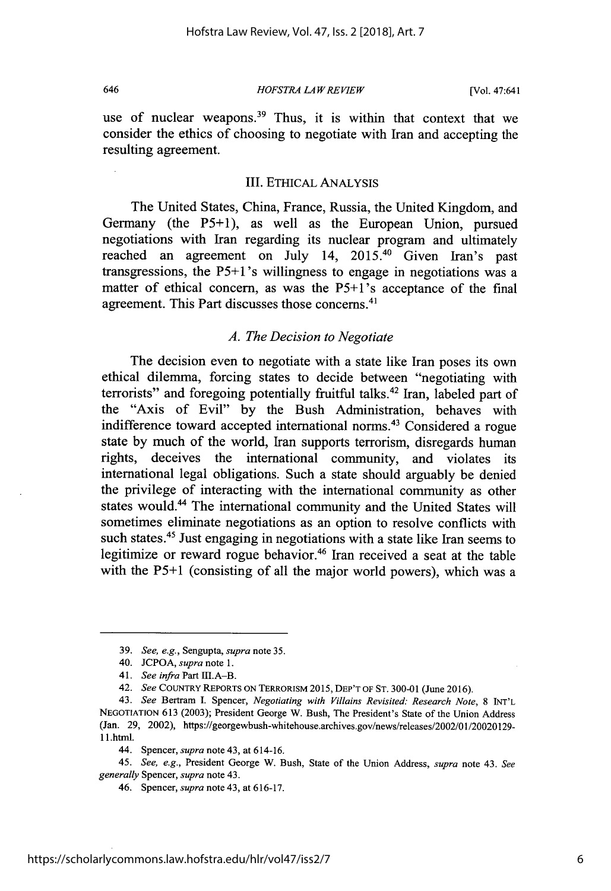*HOFSTRA LA W REVIEW*

use of nuclear weapons.<sup>39</sup> Thus, it is within that context that we consider the ethics of choosing to negotiate with Iran and accepting the resulting agreement.

# III. ETHICAL ANALYSIS

The United States, China, France, Russia, the United Kingdom, and Germany (the P5+1), as well as the European Union, pursued negotiations with Iran regarding its nuclear program and ultimately reached an agreement on July 14, 2015.<sup>40</sup> Given Iran's past transgressions, the P5+1's willingness to engage in negotiations was a matter of ethical concern, as was the P5+1's acceptance of the final agreement. This Part discusses those concerns.<sup>41</sup>

# *A. The Decision to Negotiate*

The decision even to negotiate with a state like Iran poses its own ethical dilemma, forcing states to decide between "negotiating with terrorists" and foregoing potentially fruitful talks.<sup>42</sup> Iran, labeled part of the "Axis of Evil" by the Bush Administration, behaves with indifference toward accepted international norms.<sup>43</sup> Considered a rogue state by much of the world, Iran supports terrorism, disregards human rights, deceives the international community, and violates its international legal obligations. Such a state should arguably be denied the privilege of interacting with the international community as other states would.<sup>44</sup> The international community and the United States will sometimes eliminate negotiations as an option to resolve conflicts with such states.<sup>45</sup> Just engaging in negotiations with a state like Iran seems to legitimize or reward rogue behavior.<sup>46</sup> Iran received a seat at the table with the P5+1 (consisting of all the major world powers), which was a

45. *See, e.g.,* President George W. Bush, State of the Union Address, *supra* note 43. *See generally* Spencer, *supra* note 43.

<sup>39.</sup> *See, e.g.,* Sengupta, *supra* note 35.

<sup>40.</sup> JCPOA, *supra* note 1.

<sup>41.</sup> *See infra* Part IfI.A-B.

<sup>42.</sup> *See* COUNTRY REPORTS **ON** TERRORISM 2015, **DEP'T** OF ST. 300-01 (June 2016).

<sup>43.</sup> *See* Bertram I. Spencer, *Negotiating with Villains Revisited: Research Note,* 8 **INT'L NEGOTIATION** 613 (2003); President George W. Bush, The President's State of the Union Address (Jan. 29, 2002), https://georgewbush-whitehouse.archives.gov/news/releases/2002/01/20020129- **1** i.html.

<sup>44.</sup> Spencer, *supra* note 43, at 614-16.

<sup>46.</sup> Spencer, *supra* note 43, at 616-17.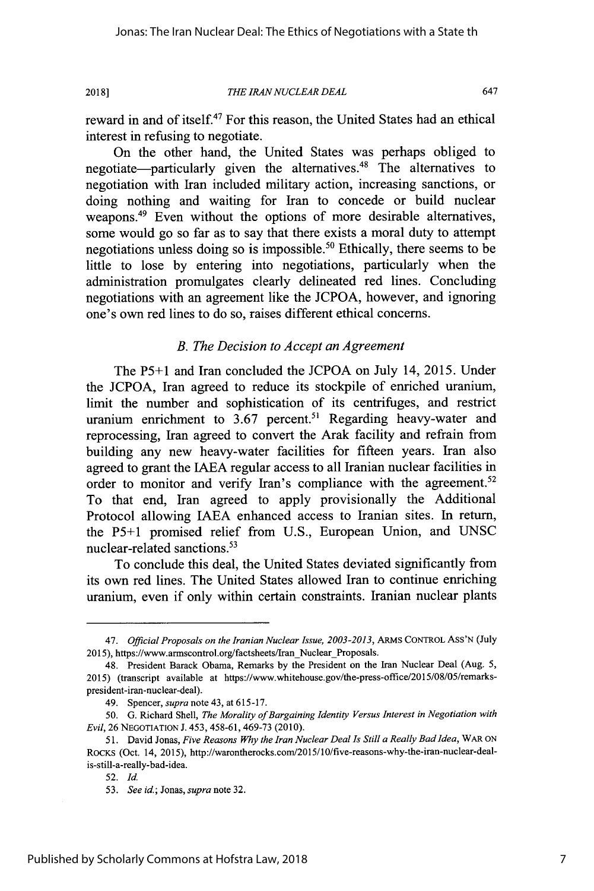**2018]**

#### *THE IRAN NUCLEAR DEAL*

647

reward in and of itself.<sup>47</sup> For this reason, the United States had an ethical interest in refusing to negotiate.

On the other hand, the United States was perhaps obliged to negotiate-particularly given the alternatives.<sup>48</sup> The alternatives to negotiation with Iran included military action, increasing sanctions, or doing nothing and waiting for Iran to concede or build nuclear weapons.<sup>49</sup> Even without the options of more desirable alternatives, some would go so far as to say that there exists a moral duty to attempt negotiations unless doing so is impossible.<sup>50</sup> Ethically, there seems to be little to lose by entering into negotiations, particularly when the administration promulgates clearly delineated red lines. Concluding negotiations with an agreement like the JCPOA, however, and ignoring one's own red lines to do so, raises different ethical concerns.

# *B. The Decision to Accept an Agreement*

The P5+1 and Iran concluded the JCPOA on July 14, 2015. Under the JCPOA, Iran agreed to reduce its stockpile of enriched uranium, limit the number and sophistication of its centrifuges, and restrict uranium enrichment to 3.67 percent.<sup>51</sup> Regarding heavy-water and reprocessing, Iran agreed to convert the Arak facility and refrain from building any new heavy-water facilities for fifteen years. Iran also agreed to grant the LAEA regular access to all Iranian nuclear facilities in order to monitor and verify Iran's compliance with the agreement.<sup>52</sup> To that end, Iran agreed to apply provisionally the Additional Protocol allowing **JAEA** enhanced access to Iranian sites. In return, the P5+1 promised relief from U.S., European Union, and UNSC nuclear-related sanctions.<sup>53</sup>

To conclude this deal, the United States deviated significantly from its own red lines. The United States allowed Iran to continue enriching uranium, even if only within certain constraints. Iranian nuclear plants

<sup>47.</sup> *Official Proposals on the Iranian Nuclear Issue, 2003-2013,* ARMS CONTROL ASS'N (July 2015), https://www.armscontrol.org/factsheets/Iran\_Nuclear\_Proposals.

<sup>48.</sup> President Barack Obama, Remarks by the President on the Iran Nuclear Deal (Aug. 5, 2015) (transcript available at https://www.whitehouse.gov/the-press-office/2015/08/05/remarkspresident-iran-nuclear-deal).

<sup>49.</sup> Spencer, *supra* note 43, at 615-17.

<sup>50.</sup> G. Richard Shell, *The Morality of Bargaining Identity Versus Interest in Negotiation with Evil,* 26 NEGOTIATION J. 453, 458-61, 469-73 (2010).

<sup>51.</sup> David Jonas, *Five Reasons Why the Iran Nuclear Deal Is Still a Really Bad Idea,* WAR **ON** RocKs (Oct. 14, 2015), http://warontherocks.com/2015/10/five-reasons-why-the-iran-nuclear-dealis-still-a-really-bad-idea.

<sup>52.</sup> Id.

*<sup>53.</sup> See id;* Jonas, *supra* note 32.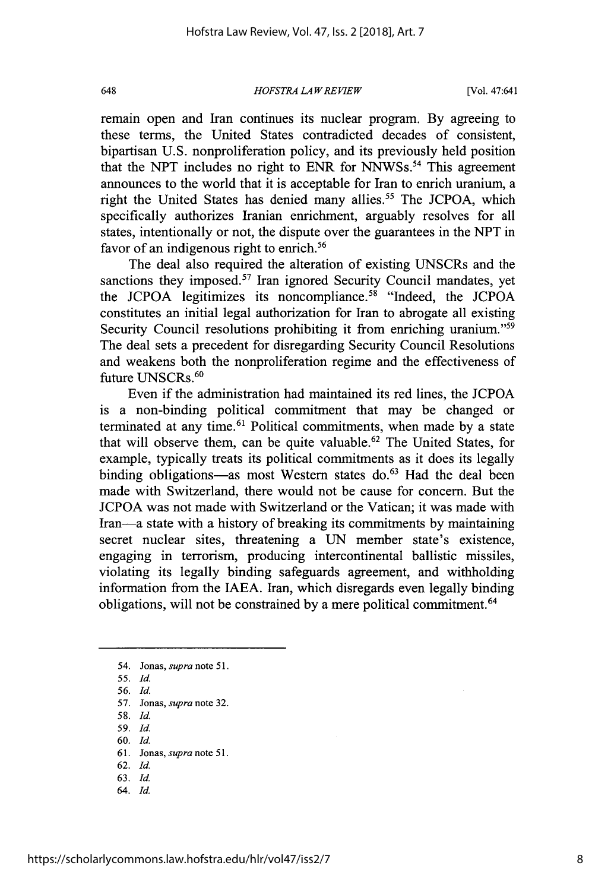*HOFSTRA LA W REVIEW*

remain open and Iran continues its nuclear program. By agreeing to these terms, the United States contradicted decades of consistent, bipartisan U.S. nonproliferation policy, and its previously held position that the NPT includes no right to ENR for NNWSs.<sup>54</sup> This agreement announces to the world that it is acceptable for Iran to enrich uranium, a right the United States has denied many allies.<sup>55</sup> The JCPOA, which specifically authorizes Iranian enrichment, arguably resolves for all states, intentionally or not, the dispute over the guarantees in the NPT in favor of an indigenous right to enrich.<sup>56</sup>

The deal also required the alteration of existing UNSCRs and the sanctions they imposed.<sup>57</sup> Iran ignored Security Council mandates, yet the JCPOA legitimizes its noncompliance.<sup>58</sup> "Indeed, the JCPOA constitutes an initial legal authorization for Iran to abrogate all existing Security Council resolutions prohibiting it from enriching uranium."<sup>59</sup> The deal sets a precedent for disregarding Security Council Resolutions and weakens both the nonproliferation regime and the effectiveness of future UNSCRs.<sup>60</sup>

Even if the administration had maintained its red lines, the JCPOA is a non-binding political commitment that may be changed or terminated at any time.<sup>61</sup> Political commitments, when made by a state that will observe them, can be quite valuable.<sup>62</sup> The United States, for example, typically treats its political commitments as it does its legally binding obligations-as most Western states do.<sup>63</sup> Had the deal been made with Switzerland, there would not be cause for concern. But the JCPOA was not made with Switzerland or the Vatican; it was made with Iran-a state with a history of breaking its commitments by maintaining secret nuclear sites, threatening a UN member state's existence, engaging in terrorism, producing intercontinental ballistic missiles, violating its legally binding safeguards agreement, and withholding information from the IAEA. Iran, which disregards even legally binding obligations, will not be constrained by a mere political commitment.<sup>64</sup>

- 59. Id.
- 60. Id.
- 61. Jonas, *supra* note 51. 62. Id.
- 63. **Id.**
- 64. Id.

<sup>54.</sup> Jonas, *supra* note 51.

<sup>55.</sup> Id.

<sup>56.</sup> Id.

<sup>57.</sup> Jonas, *supra* note 32.

<sup>58.</sup> Id.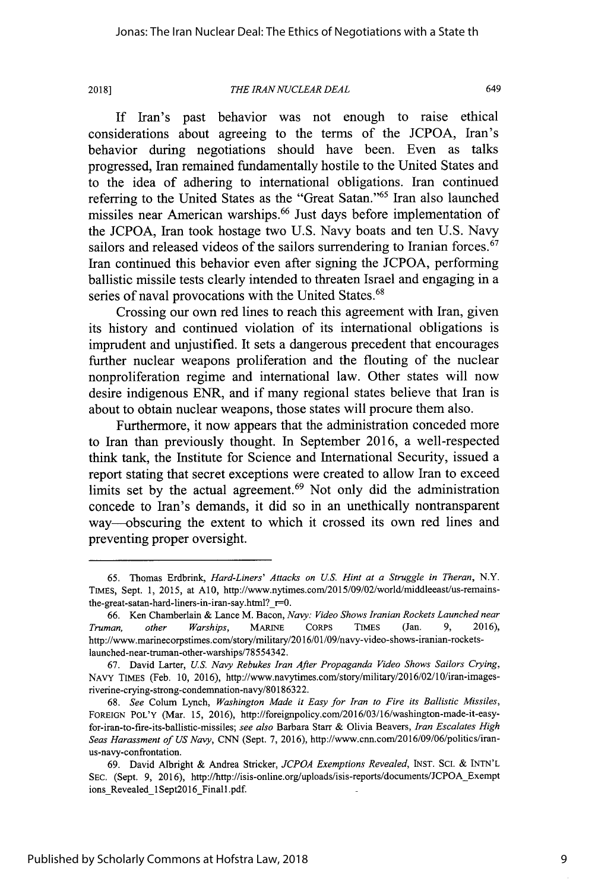**2018]**

#### *THE IRAN NUCLEAR DEAL*

649

If Iran's past behavior was not enough to raise ethical considerations about agreeing to the terms of the JCPOA, Iran's behavior during negotiations should have been. Even as talks progressed, Iran remained fundamentally hostile to the United States and to the idea of adhering to international obligations. Iran continued referring to the United States as the "Great Satan."<sup>65</sup> Iran also launched missiles near American warships.<sup>66</sup> Just days before implementation of the JCPOA, Iran took hostage two U.S. Navy boats and ten U.S. Navy sailors and released videos of the sailors surrendering to Iranian forces.<sup>67</sup> Iran continued this behavior even after signing the JCPOA, performing ballistic missile tests clearly intended to threaten Israel and engaging in a series of naval provocations with the United States.<sup>68</sup>

Crossing our own red lines to reach this agreement with Iran, given its history and continued violation of its international obligations is imprudent and unjustified. It sets a dangerous precedent that encourages further nuclear weapons proliferation and the flouting of the nuclear nonproliferation regime and international law. Other states will now desire indigenous ENR, and if many regional states believe that Iran is about to obtain nuclear weapons, those states will procure them also.

Furthermore, it now appears that the administration conceded more to Iran than previously thought. In September 2016, a well-respected think tank, the Institute for Science and International Security, issued a report stating that secret exceptions were created to allow Iran to exceed limits set by the actual agreement.<sup> $69$ </sup> Not only did the administration concede to Iran's demands, it did so in an unethically nontransparent way--obscuring the extent to which it crossed its own red lines and preventing proper oversight.

<sup>65.</sup> Thomas Erdbrink, *Hard-Liners' Attacks on U.S. Hint at a Struggle in Theran,* N.Y. TIMES, Sept. 1, 2015, at A10, http://www.nytimes.com/2015/09/02/world/middleeast/us-remainsthe-great-satan-hard-liners-in-iran-say.html?  $r=0$ .

<sup>66.</sup> Ken Chamberlain & Lance M. Bacon, *Navy: Video Shows Iranian Rockets Launched near Truman, other Warships,* MARINE CoRps TIMES (Jan. 9, 2016), http://www.marinecorpstimes.com/story/military/2016/01/09/navy-video-shows-iranian-rocketslaunched-near-truman-other-warships/78554342.

<sup>67.</sup> David Larter, *U.S. Navy Rebukes Iran After Propaganda Video Shows Sailors Crying,* NAVY TIMES (Feb. 10, 2016), http://www.navytimes.com/story/military/2016/02/10/iran-imagesriverine-crying-strong-condemnation-navy/80186322.

<sup>68.</sup> *See* Colum Lynch, *Washington Made it Easy for Iran to Fire its Ballistic Missiles,* FOREIGN POL'Y (Mar. 15, 2016), http://foreignpolicy.com/2016/03/16/washington-made-it-easyfor-iran-to-fire-its-ballistic-missiles; *see also* Barbara Starr & Olivia Beavers, *Iran Escalates High Seas Harassment of US Navy,* CNN (Sept. 7, 2016), http://www.cnn.com/2016/09/06/politics/iranus-navy-confrontation.

<sup>69.</sup> David Albright & Andrea Stricker, *JCPOA Exemptions Revealed,* INST. **SC.** & INTN'L SEC. (Sept. 9, 2016), http://http://isis-online.org/uploads/isis-reports/documents/JCPOA Exempt ions Revealed 1Sept2016 Final1.pdf.